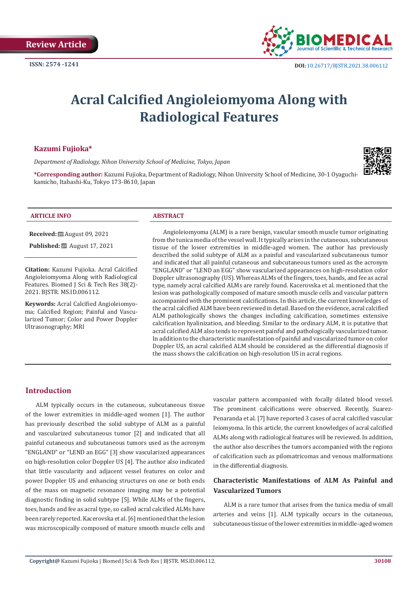

# **Acral Calcified Angioleiomyoma Along with Radiological Features**

# **Kazumi Fujioka\***

*Department of Radiology, Nihon University School of Medicine, Tokyo, Japan*



**\*Corresponding author:** Kazumi Fujioka, Department of Radiology, Nihon University School of Medicine, 30-1 Oyaguchikamicho, Itabashi-Ku, Tokyo 173-8610, Japan

#### **ARTICLE INFO ABSTRACT**

**Received:** ■ August 09, 2021

**Published:** ■ August 17, 2021

**Citation:** Kazumi Fujioka. Acral Calcified Angioleiomyoma Along with Radiological Features. Biomed J Sci & Tech Res 38(2)- 2021. BJSTR. MS.ID.006112.

**Keywords:** Acral Calcified Angioleiomyoma; Calcified Region; Painful and Vascularized Tumor; Color and Power Doppler Ultrasonography; MRI

Angioleiomyoma (ALM) is a rare benign, vascular smooth muscle tumor originating from the tunica media of the vessel wall. It typically arises in the cutaneous, subcutaneous tissue of the lower extremities in middle-aged women. The author has previously described the solid subtype of ALM as a painful and vascularized subcutaneous tumor and indicated that all painful cutaneous and subcutaneous tumors used as the acronym "ENGLAND" or "LEND an EGG" show vascularized appearances on high-resolution color Doppler ultrasonography (US). Whereas ALMs of the fingers, toes, hands, and fee as acral type, namely acral calcified ALMs are rarely found. Kacerovska et al. mentioned that the lesion was pathologically composed of mature smooth muscle cells and vascular pattern accompanied with the prominent calcifications. In this article, the current knowledges of the acral calcified ALM have been reviewed in detail. Based on the evidence, acral calcified ALM pathologically shows the changes including calcification, sometimes extensive calcification hyalinization, and bleeding. Similar to the ordinary ALM, it is putative that acral calcified ALM also tends to represent painful and pathologically vascularized tumor. In addition to the characteristic manifestation of painful and vascularized tumor on color Doppler US, an acral calcified ALM should be considered as the differential diagnosis if the mass shows the calcification on high-resolution US in acral regions.

#### **Introduction**

ALM typically occurs in the cutaneous, subcutaneous tissue of the lower extremities in middle-aged women [1]. The author has previously described the solid subtype of ALM as a painful and vascularized subcutaneous tumor [2] and indicated that all painful cutaneous and subcutaneous tumors used as the acronym "ENGLAND" or "LEND an EGG" [3] show vascularized appearances on high-resolution color Doppler US [4]. The author also indicated that little vascularity and adjacent vessel features on color and power Doppler US and enhancing structures on one or both ends of the mass on magnetic resonance imaging may be a potential diagnostic finding in solid subtype [5]. While ALMs of the fingers, toes, hands and fee as acral type, so called acral calcified ALMs have been rarely reported. Kacerovska et al. [6] mentioned that the lesion was microscopically composed of mature smooth muscle cells and

vascular pattern accompanied with focally dilated blood vessel. The prominent calcifications were observed. Recently, Suarez-Penaranda et al. [7] have reported 3 cases of acral calcified vascular leiomyoma. In this article, the current knowledges of acral calcified ALMs along with radiological features will be reviewed. In addition, the author also describes the tumors accompanied with the regions of calcification such as pilomatricomas and venous malformations in the differential diagnosis.

# **Characteristic Manifestations of ALM As Painful and Vascularized Tumors**

ALM is a rare tumor that arises from the tunica media of small arteries and veins [1]. ALM typically occurs in the cutaneous, subcutaneous tissue of the lower extremities in middle-aged women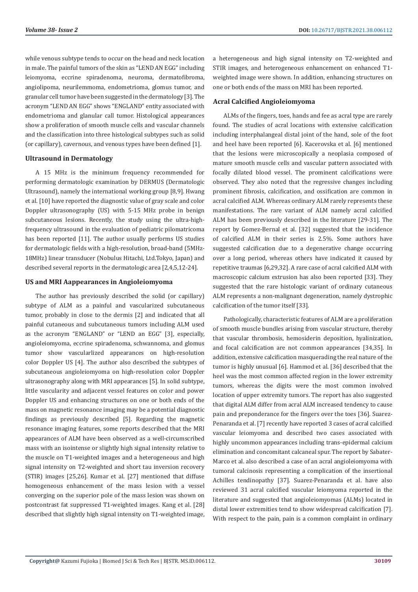while venous subtype tends to occur on the head and neck location in male. The painful tumors of the skin as "LEND AN EGG" including leiomyoma, eccrine spiradenoma, neuroma, dermatofibroma, angiolipoma, neurilemmoma, endometrioma, glomus tumor, and granular cell tumor have been suggested in the dermatology [3]. The acronym "LEND AN EGG" shows "ENGLAND" entity associated with endometrioma and glanular call tumor. Histological appearances show a proliferation of smooth muscle cells and vascular channels and the classification into three histological subtypes such as solid (or capillary), cavernous, and venous types have been defined [1].

#### **Ultrasound in Dermatology**

A 15 MHz is the minimum frequency recommended for performing dermatologic examination by DERMUS (Dermatologic Ultrasound), namely the international working group [8,9]. Hwang et al. [10] have reported the diagnostic value of gray scale and color Doppler ultrasonography (US) with 5-15 MHz probe in benign subcutaneous lesions. Recently, the study using the ultra-highfrequency ultrasound in the evaluation of pediatric pilomatricoma has been reported [11]. The author usually performs US studies for dermatologic fields with a high-resolution, broad-band (5MHz-18MHz) linear transducer (Nobulus Hitachi, Ltd.Tokyo, Japan) and described several reports in the dermatologic area [2,4,5,12-24].

#### **US and MRI Aappearances in Angioleiomyoma**

The author has previously described the solid (or capillary) subtype of ALM as a painful and vascularized subcutaneous tumor, probably in close to the dermis [2] and indicated that all painful cutaneous and subcutaneous tumors including ALM used as the acronym "ENGLAND" or "LEND an EGG" [3], especially, angioleiomyoma, eccrine spiradenoma, schwannoma, and glomus tumor show vascularlized appearances on high-resolution color Doppler US [4]. The author also described the subtypes of subcutaneous angioleiomyoma on high-resolution color Doppler ultrasonography along with MRI appearances [5]. In solid subtype, little vascularity and adjacent vessel features on color and power Doppler US and enhancing structures on one or both ends of the mass on magnetic resonance imaging may be a potential diagnostic findings as previously described [5]. Regarding the magnetic resonance imaging features, some reports described that the MRI appearances of ALM have been observed as a well-circumscribed mass with an isointense or slightly high signal intensity relative to the muscle on T1-weighted images and a heterogeneous and high signal intensity on T2-weighted and short tau inversion recovery (STIR) images [25,26]. Kumar et al. [27] mentioned that diffuse homogeneous enhancement of the mass lesion with a vessel converging on the superior pole of the mass lesion was shown on postcontrast fat suppressed T1-weighted images. Kang et al. [28] described that slightly high signal intensity on T1-weighted image,

a heterogeneous and high signal intensity on T2-weighted and STIR images, and heterogeneous enhancement on enhanced T1 weighted image were shown. In addition, enhancing structures on one or both ends of the mass on MRI has been reported.

#### **Acral Calcified Angioleiomyoma**

ALMs of the fingers, toes, hands and fee as acral type are rarely found. The studies of acral locations with extensive calcification including interphalangeal distal joint of the hand, sole of the foot and heel have been reported [6]. Kacerovska et al. [6] mentioned that the lesions were microscopically a neoplasia composed of mature smooth muscle cells and vascular pattern associated with focally dilated blood vessel. The prominent calcifications were observed. They also noted that the regressive changes including prominent fibrosis, calcification, and ossification are common in acral calcified ALM. Whereas ordinary ALM rarely represents these manifestations. The rare variant of ALM namely acral calcified ALM has been previously described in the literature [29-31]. The report by Gomez-Bernal et al. [32] suggested that the incidence of calcified ALM in their series is 2.5%. Some authors have suggested calcification due to a degenerative change occurring over a long period, whereas others have indicated it caused by repetitive traumas [6,29,32]. A rare case of acral calcified ALM with macroscopic calcium extrusion has also been reported [33]. They suggested that the rare histologic variant of ordinary cutaneous ALM represents a non-malignant degeneration, namely dystrophic calcification of the tumor itself [33].

Pathologically, characteristic features of ALM are a proliferation of smooth muscle bundles arising from vascular structure, thereby that vascular thrombosis, hemosiderin deposition, hyalinization, and focal calcification are not common appearances [34,35]. In addition, extensive calcification masquerading the real nature of the tumor is highly unusual [6]. Hammod et al. [36] described that the heel was the most common affected region in the lower extremity tumors, whereas the digits were the most common involved location of upper extremity tumors. The report has also suggested that digital ALM differ from acral ALM increased tendency to cause pain and preponderance for the fingers over the toes [36]. Suarez-Penaranda et al. [7] recently have reported 3 cases of acral calcified vascular leiomyoma and described two cases associated with highly uncommon appearances including trans-epidermal calcium elimination and concomitant calcaneal spur. The report by Sabater-Marco et al. also described a case of an acral angioleiomyoma with tumoral calcinosis representing a complication of the insertional Achilles tendinopathy [37]. Suarez-Penaranda et al. have also reviewed 31 acral calcified vascular leiomyoma reported in the literature and suggested that angioleiomyomas (ALMs) located in distal lower extremities tend to show widespread calcification [7]. With respect to the pain, pain is a common complaint in ordinary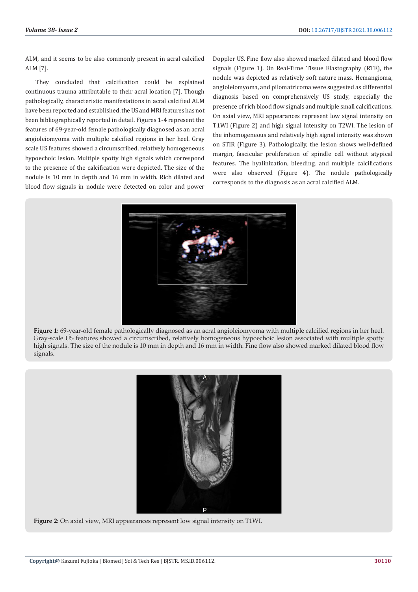ALM, and it seems to be also commonly present in acral calcified ALM [7].

They concluded that calcification could be explained continuous trauma attributable to their acral location [7]. Though pathologically, characteristic manifestations in acral calcified ALM have been reported and established, the US and MRI features has not been bibliographically reported in detail. Figures 1-4 represent the features of 69-year-old female pathologically diagnosed as an acral angioleiomyoma with multiple calcified regions in her heel. Gray scale US features showed a circumscribed, relatively homogeneous hypoechoic lesion. Multiple spotty high signals which correspond to the presence of the calcification were depicted. The size of the nodule is 10 mm in depth and 16 mm in width. Rich dilated and blood flow signals in nodule were detected on color and power

Doppler US. Fine flow also showed marked dilated and blood flow signals (Figure 1). On Real-Time Tissue Elastography (RTE), the nodule was depicted as relatively soft nature mass. Hemangioma, angioleiomyoma, and pilomatricoma were suggested as differential diagnosis based on comprehensively US study, especially the presence of rich blood flow signals and multiple small calcifications. On axial view, MRI appearances represent low signal intensity on T1WI (Figure 2) and high signal intensity on T2WI. The lesion of the inhomogeneous and relatively high signal intensity was shown on STIR (Figure 3). Pathologically, the lesion shows well-defined margin, fascicular proliferation of spindle cell without atypical features. The hyalinization, bleeding, and multiple calcifications were also observed (Figure 4). The nodule pathologically corresponds to the diagnosis as an acral calcified ALM.



**Figure 1:** 69-year-old female pathologically diagnosed as an acral angioleiomyoma with multiple calcified regions in her heel. Gray-scale US features showed a circumscribed, relatively homogeneous hypoechoic lesion associated with multiple spotty high signals. The size of the nodule is 10 mm in depth and 16 mm in width. Fine flow also showed marked dilated blood flow signals.



**Figure 2:** On axial view, MRI appearances represent low signal intensity on T1WI.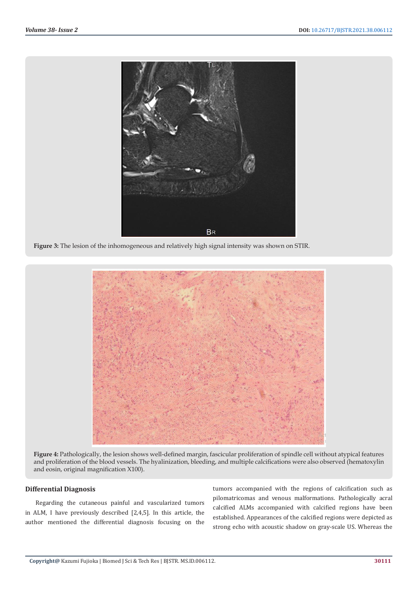

**Figure 3:** The lesion of the inhomogeneous and relatively high signal intensity was shown on STIR.



**Figure 4:** Pathologically, the lesion shows well-defined margin, fascicular proliferation of spindle cell without atypical features and proliferation of the blood vessels. The hyalinization, bleeding, and multiple calcifications were also observed (hematoxylin and eosin, original magnification X100).

#### **Differential Diagnosis**

Regarding the cutaneous painful and vascularized tumors in ALM, I have previously described [2,4,5]. In this article, the author mentioned the differential diagnosis focusing on the

tumors accompanied with the regions of calcification such as pilomatricomas and venous malformations. Pathologically acral calcified ALMs accompanied with calcified regions have been established. Appearances of the calcified regions were depicted as strong echo with acoustic shadow on gray-scale US. Whereas the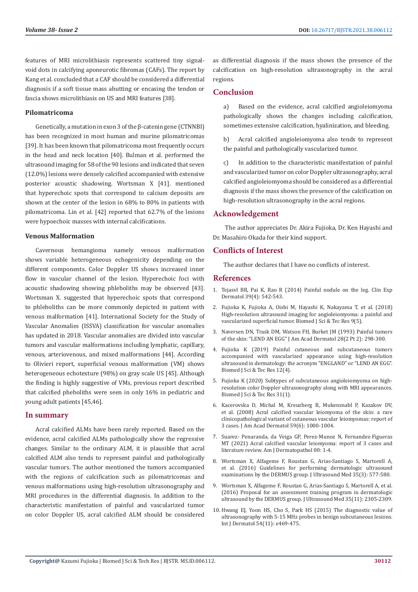features of MRI microlithiasis represents scattered tiny signalvoid dots in calcifying aponeurotic fibromas (CAFs). The report by Kang et al. concluded that a CAF should be considered a differential diagnosis if a soft tissue mass abutting or encasing the tendon or fascia shows microlithiasis on US and MRI features [38].

#### **Pilomatricoma**

Genetically, a mutation in exon 3 of the β-catenin gene (CTNNBI) has been recognized in most human and murine pilomatricomas [39]. It has been known that pilomatricoma most frequently occurs in the head and neck location [40]. Bulman et al. performed the ultrasound imaging for 58 of the 90 lesions and indicated that seven (12.0%) lesions were densely calcified accompanied with extensive posterior acoustic shadowing. Wortsman X [41]. mentioned that hyperechoic spots that correspond to calcium deposits are shown at the center of the lesion in 68% to 80% in patients with pilomatricoma. Lin et al. [42] reported that 62.7% of the lesions were hypoechoic masses with internal calcifications.

#### **Venous Malformation**

Cavernous hemangioma namely venous malformation shows variable heterogeneous echogenicity depending on the different components. Color Doppler US shows increased inner flow in vascular channel of the lesion. Hyperechoic foci with acoustic shadowing showing phleboliths may be observed [43]. Wortsman X. suggested that hyperechoic spots that correspond to phleboliths can be more commonly depicted in patient with venous malformation [41]. International Society for the Study of Vascular Anomalies (ISSVA) classification for vascular anomalies has updated in 2018. Vascular anomalies are divided into vascular tumors and vascular malformations including lymphatic, capillary, venous, arteriovenous, and mixed malformations [44]. According to Olivieri report, superficial venous malformation (VM) shows heterogeneous echotexture (98%) on gray scale US [45]. Although the finding is highly suggestive of VMs, previous report described that calcified pheboliths were seen in only 16% in pediatric and young adult patients [45,46].

#### **In summary**

Acral calcified ALMs have been rarely reported. Based on the evidence, acral calcified ALMs pathologically show the regressive changes. Similar to the ordinary ALM, it is plausible that acral calcified ALM also tends to represent painful and pathologically vascular tumors. The author mentioned the tumors accompanied with the regions of calcification such as pilomatricomas and venous malformations using high-resolution ultrasonography and MRI procedures in the differential diagnosis. In addition to the characteristic manifestation of painful and vascularized tumor on color Doppler US, acral calcified ALM should be considered as differential diagnosis if the mass shows the presence of the calcification on high-resolution ultrasonography in the acral regions.

### **Conclusion**

a) Based on the evidence, acral calcified angioleiomyoma pathologically shows the changes including calcification, sometimes extensive calcification, hyalinization, and bleeding.

b) Acral calcified angioleiomyoma also tends to represent the painful and pathologically vascularized tumor.

c) In addition to the characteristic manifestation of painful and vascularized tumor on color Doppler ultrasonography, acral calcified angioleiomyoma should be considered as a differential diagnosis if the mass shows the presence of the calcification on high-resolution ultrasonography in the acral regions.

#### **Acknowledgement**

 The author appreciates Dr. Akira Fujioka, Dr. Ken Hayashi and Dr. Masahiro Okada for their kind support.

# **Conflicts of Interest**

The author declares that I have no conflicts of interest.

#### **References**

- 1. [Tejasvl BR, Pai K, Rao R \(2014\) Painful nodule on the leg. Clin Exp](https://pubmed.ncbi.nlm.nih.gov/24758281/) [Dermatol 39\(4\): 542-543.](https://pubmed.ncbi.nlm.nih.gov/24758281/)
- 2. [Fujioka K, Fujioka A, Oishi M, Hayashi K, Nakayama T, et al. \(2018\)](https://biomedres.us/fulltexts/BJSTR.MS.ID.001857.php) [High-resolution ultrasound imaging for angioleiomyoma: a painful and](https://biomedres.us/fulltexts/BJSTR.MS.ID.001857.php) [vascularized superficial tumor. Biomed J Sci & Tec Res 9\(5\).](https://biomedres.us/fulltexts/BJSTR.MS.ID.001857.php)
- 3. [Naversen DN, Trask DM, Watson FH, Burket JM \(1993\) Painful tumors](https://pubmed.ncbi.nlm.nih.gov/8436643/) [of the skin: "LEND AN EGG" J Am Acad Dermatol 28\(2 Pt 2\): 298-300.](https://pubmed.ncbi.nlm.nih.gov/8436643/)
- 4. Fujioka K (2019) Painful cutaneous and subcutaneous tumors accompanied with vascularized appearance using high-resolution ultrasound in dermatology: the acronym "ENGLAND" or "LEND AN EGG". Biomed J Sci & Tec Res 12(4).
- 5. [Fujioka K \(2020\) Subtypes of subcutaneous angioleiomyoma on high](https://biomedres.us/fulltexts/BJSTR.MS.ID.005048.php)[resolution color Doppler ultrasonography along with MRI appearances.](https://biomedres.us/fulltexts/BJSTR.MS.ID.005048.php) [Biomed J Sci & Tec Res 31\(1\).](https://biomedres.us/fulltexts/BJSTR.MS.ID.005048.php)
- 6. [Kacerovska D, Michal M, Kreuzberg B, Mukensnabl P, Kazakov DV,](https://pubmed.ncbi.nlm.nih.gov/19022102/) [et al. \(2008\) Acral calcified vascular leiomyoma of the skin: a rare](https://pubmed.ncbi.nlm.nih.gov/19022102/) [clinicopathological variant of cutaneous vascular leiomyomas: report of](https://pubmed.ncbi.nlm.nih.gov/19022102/) [3 cases. J Am Acad Dermatol 59\(6\): 1000-1004.](https://pubmed.ncbi.nlm.nih.gov/19022102/)
- 7. [Suarez- Penaranda, da Veiga GP, Perez-Munoz N, Fernandez-Figueras](https://pubmed.ncbi.nlm.nih.gov/34086643/) [MT \(2021\) Acral calcified vascular leiomyoma: report of 3 cases and](https://pubmed.ncbi.nlm.nih.gov/34086643/) [literature review. Am J Dermatopathol 00: 1-4.](https://pubmed.ncbi.nlm.nih.gov/34086643/)
- 8. [Wortsman X, Alfageme F, Roustan G, Arias-Santiago S, Martorell A,](https://pubmed.ncbi.nlm.nih.gov/26887446/) [et al. \(2016\) Guidelines for performing dermatologic ultrasound](https://pubmed.ncbi.nlm.nih.gov/26887446/) [examinations by the DERMUS group. J Ultrasound Med 35\(3\): 577-580.](https://pubmed.ncbi.nlm.nih.gov/26887446/)
- 9. [Wortsman X, Alfageme F, Roustan G, Arias-Santiago S, Martorell A, et al.](https://pubmed.ncbi.nlm.nih.gov/27629760/) [\(2016\) Proposal for an assessment training program in dermatologic](https://pubmed.ncbi.nlm.nih.gov/27629760/) [ultrasound by the DERMUS group. J Ultrasound Med 35\(11\): 2305-2309.](https://pubmed.ncbi.nlm.nih.gov/27629760/)
- 10. [Hwang EJ, Yoon HS, Cho S, Park HS \(2015\) The diagnostic value of](https://pubmed.ncbi.nlm.nih.gov/26148060/) [ultrasonography with 5-15 MHz probes in benign subcutaneous lesions.](https://pubmed.ncbi.nlm.nih.gov/26148060/) [Int J Dermatol 54\(11\): e469-475.](https://pubmed.ncbi.nlm.nih.gov/26148060/)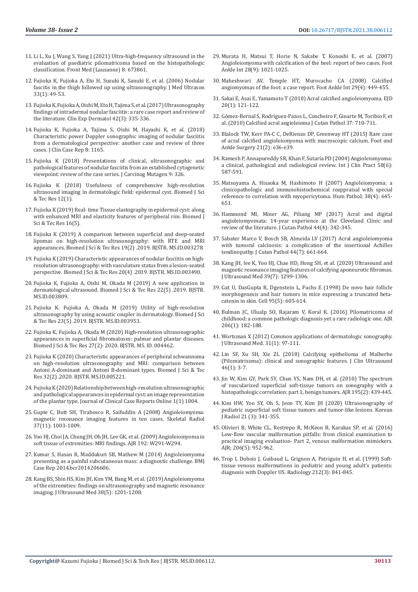- 11. [Li L, Xu J, Wang S, Yang J \(2021\) Ultra-high-frequency ultrasound in the](https://www.frontiersin.org/articles/10.3389/fmed.2021.673861/full)  [evaluation of paediatric pilomatricoma based on the histopathologic](https://www.frontiersin.org/articles/10.3389/fmed.2021.673861/full)  [classification. Front Med \(Lausanne\) 8: 673861.](https://www.frontiersin.org/articles/10.3389/fmed.2021.673861/full)
- 12. [Fujioka K, Fujioka A, Eto H, Suzuki K, Sanuki E, et al. \(2006\) Nodular](https://pubmed.ncbi.nlm.nih.gov/27277619/)  [fascitis in the thigh followed up using ultrasonography. J Med Ultrason](https://pubmed.ncbi.nlm.nih.gov/27277619/)  [33\(1\): 49-53.](https://pubmed.ncbi.nlm.nih.gov/27277619/)
- 13. [Fujioka K, Fujioka A, Oishi M, Eto H, Tajima S, et al. \(2017\) Ultrasonography](https://pubmed.ncbi.nlm.nih.gov/28300319/)  [findings of intradermal nodular fasciitis: a rare case report and review of](https://pubmed.ncbi.nlm.nih.gov/28300319/)  [the literature. Clin Exp Dermatol 42\(3\): 335-336.](https://pubmed.ncbi.nlm.nih.gov/28300319/)
- 14. [Fujioka K, Fujioka A, Tajima S, Oishi M, Hayashi K, et al. \(2018\)](https://www.hilarispublisher.com/open-access/characteristic-power-doppler-sonographic-imaging-of-nodular-fasciitisfrom-a-dermatological-perspective-another-case-and-review-of-2165-7920-10001165.pdf)  [Characteristic power Doppler sonographic imaging of nodular fasciitis](https://www.hilarispublisher.com/open-access/characteristic-power-doppler-sonographic-imaging-of-nodular-fasciitisfrom-a-dermatological-perspective-another-case-and-review-of-2165-7920-10001165.pdf)  [from a dermatological perspective: another case and review of three](https://www.hilarispublisher.com/open-access/characteristic-power-doppler-sonographic-imaging-of-nodular-fasciitisfrom-a-dermatological-perspective-another-case-and-review-of-2165-7920-10001165.pdf)  [cases. J Clin Case Rep 8: 1165.](https://www.hilarispublisher.com/open-access/characteristic-power-doppler-sonographic-imaging-of-nodular-fasciitisfrom-a-dermatological-perspective-another-case-and-review-of-2165-7920-10001165.pdf)
- 15. [Fujioka K \(2018\) Presentations of clinical, ultrasonographic and](https://www.longdom.org/open-access/presentations-of-clinical-ultrasonographic-and-pathological-features-of-nodular-fasciitis-from-an-established-cytogenetic-viewpoin-2157-2518-1000326.pdf)  [pathological features of nodular fasciitis from an established cytogenetic](https://www.longdom.org/open-access/presentations-of-clinical-ultrasonographic-and-pathological-features-of-nodular-fasciitis-from-an-established-cytogenetic-viewpoin-2157-2518-1000326.pdf)  [viewpoint: review of the case series. J Carcinog Mutagen 9: 326.](https://www.longdom.org/open-access/presentations-of-clinical-ultrasonographic-and-pathological-features-of-nodular-fasciitis-from-an-established-cytogenetic-viewpoin-2157-2518-1000326.pdf)
- 16. [Fujioka K \(2018\) Usefulness of comprehensive high-resolution](https://biomedres.us/fulltexts/BJSTR.MS.ID.002184.php)  [ultrasound imaging in dermatologic field: epidermal cyst. Biomed J Sci](https://biomedres.us/fulltexts/BJSTR.MS.ID.002184.php)  [& Tec Res 12\(1\).](https://biomedres.us/fulltexts/BJSTR.MS.ID.002184.php)
- 17. [Fujioka K \(2019\) Real- time Tissue elastography in epidermal cyst: along](https://biomedres.us/fulltexts/BJSTR.MS.ID.002904.php)  [with enhanced MRI and elasticity features of peripheral rim. Biomed J](https://biomedres.us/fulltexts/BJSTR.MS.ID.002904.php)  [Sci & Tec Res 16\(5\).](https://biomedres.us/fulltexts/BJSTR.MS.ID.002904.php)
- 18. [Fujioka K \(2019\) A comparison between superficial and deep-seated](https://biomedres.us/fulltexts/BJSTR.MS.ID.003278.php)  [lipomas on high-resolution ultrasonography: with RTE and MRI](https://biomedres.us/fulltexts/BJSTR.MS.ID.003278.php)  [appearances. Biomed J Sci & Tec Res 19\(2\) .2019. BJSTR. MS.ID.003278.](https://biomedres.us/fulltexts/BJSTR.MS.ID.003278.php)
- 19. [Fujioka K \(2019\) Characteristic appearances of nodular fasciitis on high](https://biomedres.us/fulltexts/BJSTR.MS.ID.003490.php)[resolution ultrasonography: with vasculature status from a lesion-seated](https://biomedres.us/fulltexts/BJSTR.MS.ID.003490.php)  [perspective. Biomed J Sci & Tec Res 20\(4\) .2019. BJSTR. MS.ID.003490.](https://biomedres.us/fulltexts/BJSTR.MS.ID.003490.php)
- 20. [Fujioka K, Fujioka A, Oishi M, Okada M \(2019\) A new application in](https://biomedres.us/fulltexts/BJSTR.MS.ID.003809.php)  [dermatological ultrasound. Biomed J Sci & Tec Res 22\(5\) .2019. BJSTR.](https://biomedres.us/fulltexts/BJSTR.MS.ID.003809.php)  [MS.ID.003809.](https://biomedres.us/fulltexts/BJSTR.MS.ID.003809.php)
- 21. [Fujioka K. Fujioka A, Okada M \(2019\) Utility of high-resolution](https://biomedres.us/pdfs/BJSTR.MS.ID.003953.pdf)  [ultrasonography by using acoustic coupler in dermatology. Biomed J Sci](https://biomedres.us/pdfs/BJSTR.MS.ID.003953.pdf)  [& Tec Res 23\(5\) .2019. BJSTR. MS.ID.003953.](https://biomedres.us/pdfs/BJSTR.MS.ID.003953.pdf)
- 22. [Fujioka K, Fujioka A, Okada M \(2020\) High-resolution ultrasonographic](https://biomedres.us/fulltexts/BJSTR.MS.ID.004462.php)  [appearances in superficial fibromatoses: palmar and plantar diseases.](https://biomedres.us/fulltexts/BJSTR.MS.ID.004462.php)  [Biomed J Sci & Tec Res 27\(2\): 2020. BJSTR. MS. ID. 004462.](https://biomedres.us/fulltexts/BJSTR.MS.ID.004462.php)
- 23. [Fujioka K \(2020\) Characteristic appearances of peripheral schwannoma](https://biomedres.us/fulltexts/BJSTR.MS.ID.005221.php)  [on high-resolution ultrasonography and MRI: comparison between](https://biomedres.us/fulltexts/BJSTR.MS.ID.005221.php)  [Antoni A-dominant and Antoni B-dominant types. Biomed J Sci & Tec](https://biomedres.us/fulltexts/BJSTR.MS.ID.005221.php)  [Res 32\(2\) .2020. BJSTR. MS.ID.005221.](https://biomedres.us/fulltexts/BJSTR.MS.ID.005221.php)
- 24. [Fujioka K \(2020\) Relationship between high-resolution ultrasonographic](https://casereportsonline.com/articles/relationship-between-high-resolution-ultrasonographic-and-pathological-appearances-in-epidermal-cyst-an-image-representation-of-the-plantar-type-v1-1004.pdf)  [and pathological appearances in epidermal cyst: an image representation](https://casereportsonline.com/articles/relationship-between-high-resolution-ultrasonographic-and-pathological-appearances-in-epidermal-cyst-an-image-representation-of-the-plantar-type-v1-1004.pdf)  [of the plantar type. Journal of Clinical Case Reports Online 1\(1\) 1004.](https://casereportsonline.com/articles/relationship-between-high-resolution-ultrasonographic-and-pathological-appearances-in-epidermal-cyst-an-image-representation-of-the-plantar-type-v1-1004.pdf)
- 25. [Gupte C, Butt SH, Tirabosco R, Saifuddin A \(2008\) Angioleiomyoma:](https://pubmed.ncbi.nlm.nih.gov/18581112/)  [magnetic resonance imaging features in ten cases. Skeletal Radiol](https://pubmed.ncbi.nlm.nih.gov/18581112/)  [37\(11\): 1003-1009.](https://pubmed.ncbi.nlm.nih.gov/18581112/)
- 26. [Yoo HJ, Choi JA, Chung JH, Oh JH, Lee GK, et al. \(2009\) Angioleiomyoma in](https://www.ajronline.org/doi/pdf/10.2214/AJR.07.3952)  [soft tissue of extremities: MRI findings. AJR 192: W291-W294.](https://www.ajronline.org/doi/pdf/10.2214/AJR.07.3952)
- 27. [Kumar S, Hasan R, Maddukuri SB, Mathew M \(2014\) Angioleiomyoma](https://casereports.bmj.com/content/2014/bcr-2014-206606)  [presenting as a painful subcutaneous mass: a diagnostic challenge. BMJ](https://casereports.bmj.com/content/2014/bcr-2014-206606)  [Case Rep 2014.bcr2014206606.](https://casereports.bmj.com/content/2014/bcr-2014-206606)
- 28. [Kang BS, Shin HS, Kim JH, Kim YM, Bang M, et al. \(2019\) Angioleiomyoma](https://pubmed.ncbi.nlm.nih.gov/30208227/)  [of the extremities: findings on ultrasonography and magnetic resonance](https://pubmed.ncbi.nlm.nih.gov/30208227/)  [imaging. J Ultrasound Med 38\(5\): 1201-1208.](https://pubmed.ncbi.nlm.nih.gov/30208227/)
- 29. [Murata H, Matsui T, Horie N, Sakabe T, Konoshi E, et al. \(2007\)](https://pubmed.ncbi.nlm.nih.gov/17880879/) [Angioleiomyoma with calcification of the heel: report of two cases. Foot](https://pubmed.ncbi.nlm.nih.gov/17880879/) [Ankle Int 28\(9\): 1021-1025.](https://pubmed.ncbi.nlm.nih.gov/17880879/)
- 30. [Maheshwari AV, Temple HT, Murocacho CA \(2008\) Calcified](https://pubmed.ncbi.nlm.nih.gov/18442465/) [angiomyomas of the foot: a case report. Foot Ankle Int 29\(4\): 449-455.](https://pubmed.ncbi.nlm.nih.gov/18442465/)
- 31. [Sakai E, Asai E, Yamamoto T \(2010\) Acral calcified angioleiomyoma. EJD](https://pubmed.ncbi.nlm.nih.gov/19959419/) [20\(1\): 121-122.](https://pubmed.ncbi.nlm.nih.gov/19959419/)
- 32. Gómez-Bernal S, Rodriguez-Pazos L, Concheiro F, Ginarte M, Toribio F, et al. (2010) Calcified acral angioleioma J Cutan Pathol 37: 710-711.
- 33. [Blalock TW, Kerr PA-C C, DeRienzo DP,](https://pubmed.ncbi.nlm.nih.gov/25937420/) Greenway HT (2015) Rare case [of acral calcified angioleiomyoma with macroscopic calcium. Foot and](https://pubmed.ncbi.nlm.nih.gov/25937420/) [Ankle Surgery 21\(2\): e36-e39.](https://pubmed.ncbi.nlm.nih.gov/25937420/)
- 34. [Ramesh P, Annapureddy SR, Khan F, Sutaria PD \(2004\) Angioleiomyoma:](https://pubmed.ncbi.nlm.nih.gov/15311559/) [a clinical, pathological and radiological review. Int J Clin Pract 58\(6\):](https://pubmed.ncbi.nlm.nih.gov/15311559/) [587-591.](https://pubmed.ncbi.nlm.nih.gov/15311559/)
- 35. [Matsuyama A, Hisaoka M, Hashimoto H \(2007\) Angioleiomyoma: a](https://pubmed.ncbi.nlm.nih.gov/17270242/) [clinicopathologic and immunohistochemical reappraisal with special](https://pubmed.ncbi.nlm.nih.gov/17270242/) [reference to correlation with myopericytoma. Hum Pathol; 38\(4\): 645-](https://pubmed.ncbi.nlm.nih.gov/17270242/) [651.](https://pubmed.ncbi.nlm.nih.gov/17270242/)
- 36. [Hammond MI, Miner AG, Piliang MP \(2017\) Acral and digital](https://pubmed.ncbi.nlm.nih.gov/28058733/) [angioleiomyomata: 14-year experience at the Cleveland Clinic and](https://pubmed.ncbi.nlm.nih.gov/28058733/) [review of the literature. J Cutan Pathol 44\(4\): 342-345.](https://pubmed.ncbi.nlm.nih.gov/28058733/)
- 37. [Sabater Marco V, Bosch SB, Almeida LV \(2017\) Acral angioleiomyoma](https://pubmed.ncbi.nlm.nih.gov/28493354/) [with tumoral calcinosis: a complication of the insertional Achilles](https://pubmed.ncbi.nlm.nih.gov/28493354/) [tendinopathy. J Cutan Pathol 44\(7\): 661-664.](https://pubmed.ncbi.nlm.nih.gov/28493354/)
- 38. Kang JH, lee K, Yoo HJ, Chae HD, Hong SH, et al. (2020) Ultrasound and magnetic resonance imaging features of calcifying aponeurotic fibromas. J Ultrasound Med 39(7): 1299-1306.
- 39. [Gat U, DasGupta R, Dgenstein L, Fuchs E \(1998\) De novo hair follicle](https://pubmed.ncbi.nlm.nih.gov/9845363/) [morphogenesis and hair tumors in mice expressing a truncated beta](https://pubmed.ncbi.nlm.nih.gov/9845363/)[catenin in skin. Cell 95\(5\): 605-614.](https://pubmed.ncbi.nlm.nih.gov/9845363/)
- 40. [Bulman JC, Ulualp SO, Rajaram V, Koral K. \(2016\) Pilomatricoma of](https://pubmed.ncbi.nlm.nih.gov/26700350/) [childhood: a common pathologic diagnosis yet a rare radiologic one. AJR](https://pubmed.ncbi.nlm.nih.gov/26700350/) [206\(1\): 182-188.](https://pubmed.ncbi.nlm.nih.gov/26700350/)
- 41. [Wortsman X \(2012\) Common applications of dermatologic sonography.](https://pubmed.ncbi.nlm.nih.gov/22215775/) [J Ultrasound Med. 31\(1\): 97-111.](https://pubmed.ncbi.nlm.nih.gov/22215775/)
- 42. [Lin SF, Xu SH, Xie ZL \(2018\) Calcifying epithelioma of Malherbe](https://www.ncbi.nlm.nih.gov/pmc/articles/PMC5763411/) [\(Pilomatrixoma\): clinical and sonographic features. J Clin Ultrasound](https://www.ncbi.nlm.nih.gov/pmc/articles/PMC5763411/) [46\(1\): 3-7.](https://www.ncbi.nlm.nih.gov/pmc/articles/PMC5763411/)
- 43. [Jin W, Kim GY, Park SY, Chun YS, Nam DH, et al. \(2010\) The spectrum](https://www.ajronline.org/doi/10.2214/AJR.09.3832) [of vascularized superficial soft-tissue tumors on sonography with a](https://www.ajronline.org/doi/10.2214/AJR.09.3832) [histopathologic correlation: part 1, benign tumors. AJR 195\(2\): 439-445.](https://www.ajronline.org/doi/10.2214/AJR.09.3832)
- 44. [Kim HW, Yoo SY, Oh S, Jeon TY, Kim JH \(2020\) Ultrasonography of](https://www.ncbi.nlm.nih.gov/pmc/articles/PMC7039727/) [pediatric superficial soft tissue tumors and tumor-like lesions. Korean](https://www.ncbi.nlm.nih.gov/pmc/articles/PMC7039727/) [J Radiol 21 \(3\): 341-355.](https://www.ncbi.nlm.nih.gov/pmc/articles/PMC7039727/)
- 45. [Olivieri B, White CL, Restrepo R, McKeon B, Karakas SP, et al. \(2016\)](https://pubmed.ncbi.nlm.nih.gov/26999647/) [Low-flow vascular malformation pitfalls: from clinical examination to](https://pubmed.ncbi.nlm.nih.gov/26999647/) [practical imaging evaluation- Part 2, venous malformation mimickers.](https://pubmed.ncbi.nlm.nih.gov/26999647/) [AJR; 206\(5\): 952-962.](https://pubmed.ncbi.nlm.nih.gov/26999647/)
- 46. [Trop I, Dubois J, Guibaud L, Grignon A, Patriguin H, et al. \(1999\) Soft](https://pubmed.ncbi.nlm.nih.gov/10478255/)[tissue venous malformations in pediatric and young adult's patients:](https://pubmed.ncbi.nlm.nih.gov/10478255/) [diagnosis with Doppler US. Radiology 212\(3\): 841-845.](https://pubmed.ncbi.nlm.nih.gov/10478255/)